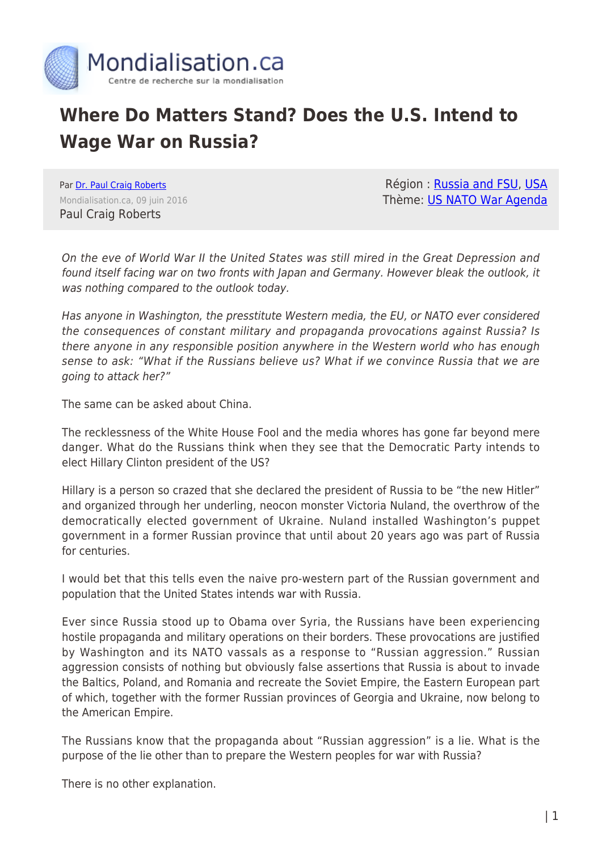

## **Where Do Matters Stand? Does the U.S. Intend to Wage War on Russia?**

Par [Dr. Paul Craig Roberts](https://www.mondialisation.ca/author/paul-craig-roberts) Mondialisation.ca, 09 juin 2016 Paul Craig Roberts

Région : [Russia and FSU,](https://www.mondialisation.ca/region/russia-and-fsu) [USA](https://www.mondialisation.ca/region/usa) Thème: [US NATO War Agenda](https://www.mondialisation.ca/theme/us-nato-war-agenda)

On the eve of World War II the United States was still mired in the Great Depression and found itself facing war on two fronts with Japan and Germany. However bleak the outlook, it was nothing compared to the outlook today.

Has anyone in Washington, the presstitute Western media, the EU, or NATO ever considered the consequences of constant military and propaganda provocations against Russia? Is there anyone in any responsible position anywhere in the Western world who has enough sense to ask: "What if the Russians believe us? What if we convince Russia that we are going to attack her?"

The same can be asked about China.

The recklessness of the White House Fool and the media whores has gone far beyond mere danger. What do the Russians think when they see that the Democratic Party intends to elect Hillary Clinton president of the US?

Hillary is a person so crazed that she declared the president of Russia to be "the new Hitler" and organized through her underling, neocon monster Victoria Nuland, the overthrow of the democratically elected government of Ukraine. Nuland installed Washington's puppet government in a former Russian province that until about 20 years ago was part of Russia for centuries.

I would bet that this tells even the naive pro-western part of the Russian government and population that the United States intends war with Russia.

Ever since Russia stood up to Obama over Syria, the Russians have been experiencing hostile propaganda and military operations on their borders. These provocations are justified by Washington and its NATO vassals as a response to "Russian aggression." Russian aggression consists of nothing but obviously false assertions that Russia is about to invade the Baltics, Poland, and Romania and recreate the Soviet Empire, the Eastern European part of which, together with the former Russian provinces of Georgia and Ukraine, now belong to the American Empire.

The Russians know that the propaganda about "Russian aggression" is a lie. What is the purpose of the lie other than to prepare the Western peoples for war with Russia?

There is no other explanation.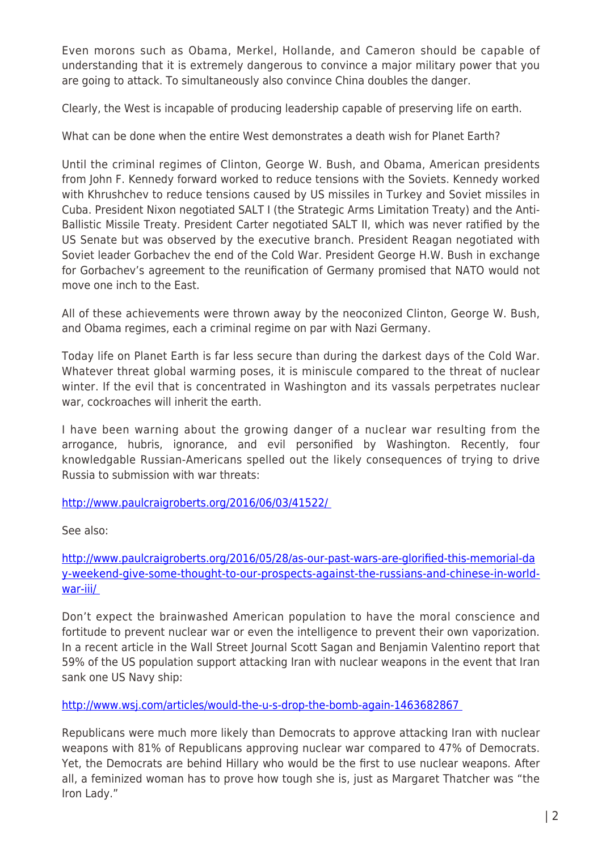Even morons such as Obama, Merkel, Hollande, and Cameron should be capable of understanding that it is extremely dangerous to convince a major military power that you are going to attack. To simultaneously also convince China doubles the danger.

Clearly, the West is incapable of producing leadership capable of preserving life on earth.

What can be done when the entire West demonstrates a death wish for Planet Earth?

Until the criminal regimes of Clinton, George W. Bush, and Obama, American presidents from John F. Kennedy forward worked to reduce tensions with the Soviets. Kennedy worked with Khrushchev to reduce tensions caused by US missiles in Turkey and Soviet missiles in Cuba. President Nixon negotiated SALT I (the Strategic Arms Limitation Treaty) and the Anti-Ballistic Missile Treaty. President Carter negotiated SALT II, which was never ratified by the US Senate but was observed by the executive branch. President Reagan negotiated with Soviet leader Gorbachev the end of the Cold War. President George H.W. Bush in exchange for Gorbachev's agreement to the reunification of Germany promised that NATO would not move one inch to the East.

All of these achievements were thrown away by the neoconized Clinton, George W. Bush, and Obama regimes, each a criminal regime on par with Nazi Germany.

Today life on Planet Earth is far less secure than during the darkest days of the Cold War. Whatever threat global warming poses, it is miniscule compared to the threat of nuclear winter. If the evil that is concentrated in Washington and its vassals perpetrates nuclear war, cockroaches will inherit the earth.

I have been warning about the growing danger of a nuclear war resulting from the arrogance, hubris, ignorance, and evil personified by Washington. Recently, four knowledgable Russian-Americans spelled out the likely consequences of trying to drive Russia to submission with war threats:

## <http://www.paulcraigroberts.org/2016/06/03/41522/>

See also:

[http://www.paulcraigroberts.org/2016/05/28/as-our-past-wars-are-glorified-this-memorial-da](http://www.paulcraigroberts.org/2016/05/28/as-our-past-wars-are-glorified-this-memorial-day-weekend-give-some-thought-to-our-prospects-against-the-russians-and-chinese-in-world-war-iii/) [y-weekend-give-some-thought-to-our-prospects-against-the-russians-and-chinese-in-world](http://www.paulcraigroberts.org/2016/05/28/as-our-past-wars-are-glorified-this-memorial-day-weekend-give-some-thought-to-our-prospects-against-the-russians-and-chinese-in-world-war-iii/)[war-iii/](http://www.paulcraigroberts.org/2016/05/28/as-our-past-wars-are-glorified-this-memorial-day-weekend-give-some-thought-to-our-prospects-against-the-russians-and-chinese-in-world-war-iii/) 

Don't expect the brainwashed American population to have the moral conscience and fortitude to prevent nuclear war or even the intelligence to prevent their own vaporization. In a recent article in the Wall Street Journal Scott Sagan and Benjamin Valentino report that 59% of the US population support attacking Iran with nuclear weapons in the event that Iran sank one US Navy ship:

## <http://www.wsj.com/articles/would-the-u-s-drop-the-bomb-again-1463682867>

Republicans were much more likely than Democrats to approve attacking Iran with nuclear weapons with 81% of Republicans approving nuclear war compared to 47% of Democrats. Yet, the Democrats are behind Hillary who would be the first to use nuclear weapons. After all, a feminized woman has to prove how tough she is, just as Margaret Thatcher was "the Iron Lady."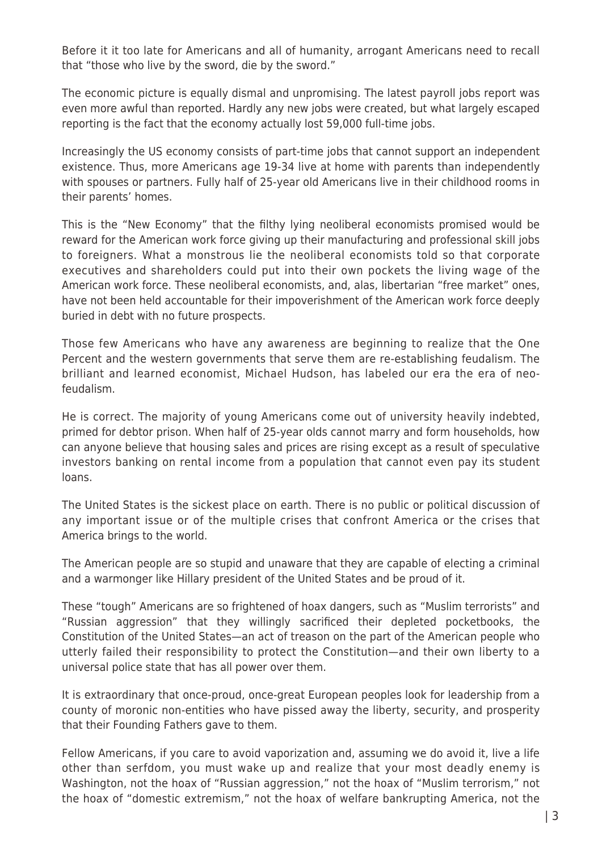Before it it too late for Americans and all of humanity, arrogant Americans need to recall that "those who live by the sword, die by the sword."

The economic picture is equally dismal and unpromising. The latest payroll jobs report was even more awful than reported. Hardly any new jobs were created, but what largely escaped reporting is the fact that the economy actually lost 59,000 full-time jobs.

Increasingly the US economy consists of part-time jobs that cannot support an independent existence. Thus, more Americans age 19-34 live at home with parents than independently with spouses or partners. Fully half of 25-year old Americans live in their childhood rooms in their parents' homes.

This is the "New Economy" that the filthy lying neoliberal economists promised would be reward for the American work force giving up their manufacturing and professional skill jobs to foreigners. What a monstrous lie the neoliberal economists told so that corporate executives and shareholders could put into their own pockets the living wage of the American work force. These neoliberal economists, and, alas, libertarian "free market" ones, have not been held accountable for their impoverishment of the American work force deeply buried in debt with no future prospects.

Those few Americans who have any awareness are beginning to realize that the One Percent and the western governments that serve them are re-establishing feudalism. The brilliant and learned economist, Michael Hudson, has labeled our era the era of neofeudalism.

He is correct. The majority of young Americans come out of university heavily indebted, primed for debtor prison. When half of 25-year olds cannot marry and form households, how can anyone believe that housing sales and prices are rising except as a result of speculative investors banking on rental income from a population that cannot even pay its student loans.

The United States is the sickest place on earth. There is no public or political discussion of any important issue or of the multiple crises that confront America or the crises that America brings to the world.

The American people are so stupid and unaware that they are capable of electing a criminal and a warmonger like Hillary president of the United States and be proud of it.

These "tough" Americans are so frightened of hoax dangers, such as "Muslim terrorists" and "Russian aggression" that they willingly sacrificed their depleted pocketbooks, the Constitution of the United States—an act of treason on the part of the American people who utterly failed their responsibility to protect the Constitution—and their own liberty to a universal police state that has all power over them.

It is extraordinary that once-proud, once-great European peoples look for leadership from a county of moronic non-entities who have pissed away the liberty, security, and prosperity that their Founding Fathers gave to them.

Fellow Americans, if you care to avoid vaporization and, assuming we do avoid it, live a life other than serfdom, you must wake up and realize that your most deadly enemy is Washington, not the hoax of "Russian aggression," not the hoax of "Muslim terrorism," not the hoax of "domestic extremism," not the hoax of welfare bankrupting America, not the